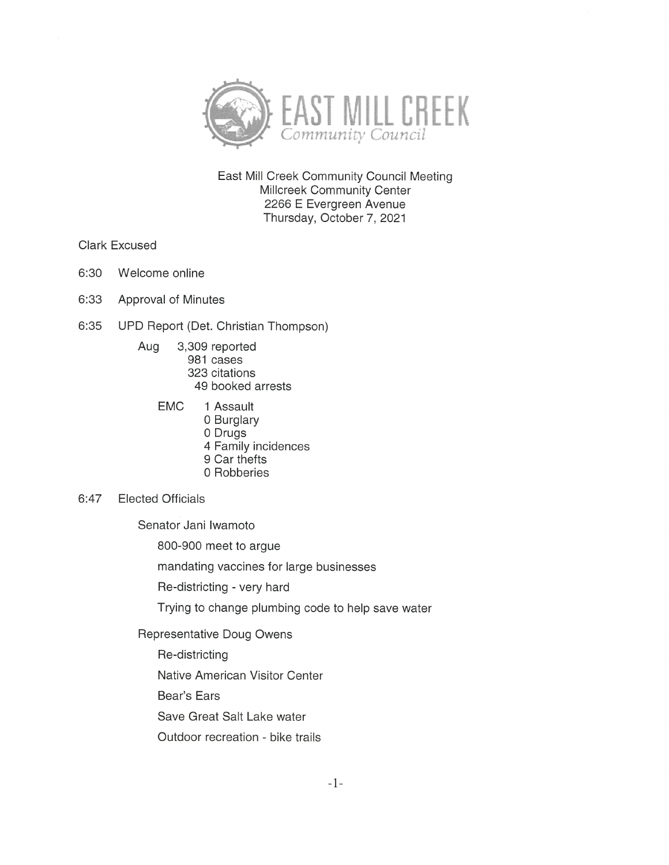

East Mill Creek Community Council Meeting Millcreek Community Center 2266 E Evergreen Avenue Thursday, October 7, 2021

Clark Excused

- 6:30 Welcome online
- 6:33 Approval of Minutes
- 6:35 UPD Report (Det. Christian Thompson)
	- Aug 3,309 reported 981 cases 323 citations 49 booked arrests
		- EMC <sup>1</sup> Assault 0 Burglary 0 Drugs 4 Family incidences 9 Car thefts
			- 0 Robberies
- 6:47 Elected Officials

Senator Jani Iwamoto

800-900 meet to argue

mandating vaccines for large businesses

Re-districting - very hard

Trying to change plumbing code to help save water

Representative Doug Owens

- Re-districting
- Native American Visitor Center
- Bear's Ears

Save Great Salt Lake water

Outdoor recreation - bike trails